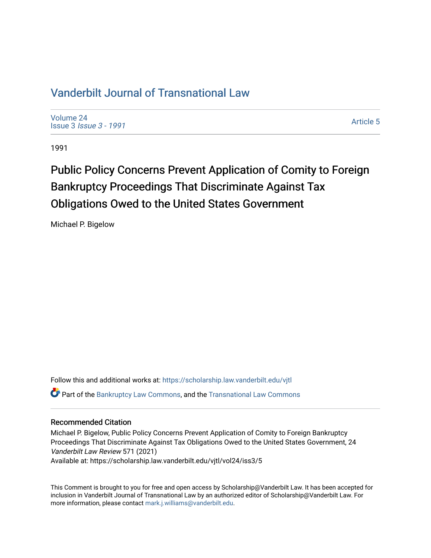# [Vanderbilt Journal of Transnational Law](https://scholarship.law.vanderbilt.edu/vjtl)

[Volume 24](https://scholarship.law.vanderbilt.edu/vjtl/vol24) Issue 3 [Issue 3 - 1991](https://scholarship.law.vanderbilt.edu/vjtl/vol24/iss3)

[Article 5](https://scholarship.law.vanderbilt.edu/vjtl/vol24/iss3/5) 

1991

# Public Policy Concerns Prevent Application of Comity to Foreign Bankruptcy Proceedings That Discriminate Against Tax Obligations Owed to the United States Government

Michael P. Bigelow

Follow this and additional works at: [https://scholarship.law.vanderbilt.edu/vjtl](https://scholarship.law.vanderbilt.edu/vjtl?utm_source=scholarship.law.vanderbilt.edu%2Fvjtl%2Fvol24%2Fiss3%2F5&utm_medium=PDF&utm_campaign=PDFCoverPages)  **C** Part of the [Bankruptcy Law Commons,](http://network.bepress.com/hgg/discipline/583?utm_source=scholarship.law.vanderbilt.edu%2Fvjtl%2Fvol24%2Fiss3%2F5&utm_medium=PDF&utm_campaign=PDFCoverPages) and the Transnational Law Commons

## Recommended Citation

Michael P. Bigelow, Public Policy Concerns Prevent Application of Comity to Foreign Bankruptcy Proceedings That Discriminate Against Tax Obligations Owed to the United States Government, 24 Vanderbilt Law Review 571 (2021) Available at: https://scholarship.law.vanderbilt.edu/vjtl/vol24/iss3/5

This Comment is brought to you for free and open access by Scholarship@Vanderbilt Law. It has been accepted for inclusion in Vanderbilt Journal of Transnational Law by an authorized editor of Scholarship@Vanderbilt Law. For more information, please contact [mark.j.williams@vanderbilt.edu](mailto:mark.j.williams@vanderbilt.edu).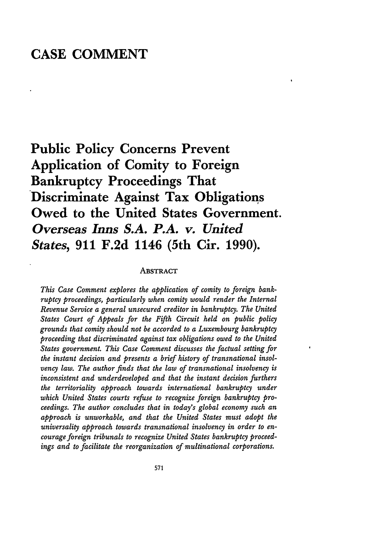# **CASE COMMENT**

**Public Policy Concerns Prevent Application of Comity to Foreign Bankruptcy Proceedings That Discriminate Against Tax Obligations Owed to the United States Government.** *Overseas Inns S.A. P.A. v. United States,* **911 F.2d 1146 (5th Cir. 1990).**

#### **ABSTRACT**

*This Case Comment explores the application of comity to foreign bankruptcy proceedings, particularly when comity would render the Internal Revenue Service a general unsecured creditor in bankruptcy. The United States Court of Appeals for the Fifth Circuit held on public policy grounds that comity should not be accorded to a Luxembourg bankruptcy proceeding that discriminated against tax obligations owed to the United States government. This Case Comment discusses the factual setting for the instant decision and presents a brief history of transnational insolvency law. The author finds that the law of transnational insolvency is inconsistent and underdeveloped and that the instant decision furthers the territoriality approach towards international bankruptcy under which United States courts refuse to recognize foreign bankruptcy proceedings. The author concludes that in today's global economy such an approach is unworkable, and that the United States must adopt the universality approach towards transnational insolvency in order to encourage foreign tribunals to recognize United States bankruptcy proceedings and to facilitate the reorganization of multinational corporations.*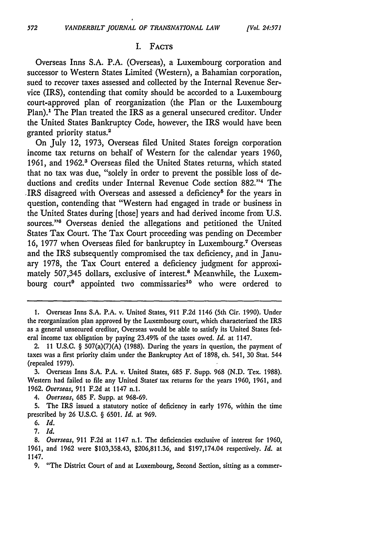#### I. **FACTS**

Overseas Inns **S.A.** P.A. (Overseas), a Luxembourg corporation and successor to Western States Limited (Western), a Bahamian corporation, sued to recover taxes assessed and collected by the Internal Revenue Service (IRS), contending that comity should be accorded to a Luxembourg court-approved plan of reorganization (the Plan or the Luxembourg Plan).<sup>1</sup> The Plan treated the IRS as a general unsecured creditor. Under the United States Bankruptcy Code, however, the IRS would have been granted priority status.2

On July 12, 1973, Overseas filed United States foreign corporation income tax returns on behalf of Western for the calendar years 1960, 1961, and 1962.' Overseas filed the United States returns, which stated that no tax was due, "solely in order to prevent the possible loss of deductions and credits under Internal Revenue Code section 882."<sup>4</sup> The IRS disagreed with Overseas and assessed a deficiency<sup>5</sup> for the years in question, contending that "Western had engaged in trade or business in the United States during [those] years and had derived income from U.S. sources."<sup>6</sup> Overseas denied the allegations and petitioned the United States Tax Court. The Tax Court proceeding was pending on December 16, 1977 when Overseas filed for bankruptcy in Luxembourg.<sup>7</sup> Overseas and the IRS subsequently compromised the tax deficiency, and in January 1978, the Tax Court entered a deficiency judgment for approximately 507,345 dollars, exclusive of interest.<sup>8</sup> Meanwhile, the Luxembourg court<sup>9</sup> appointed two commissaries<sup>10</sup> who were ordered to

**9.** "The District Court of and at Luxembourg, Second Section, sitting as a commer-

<sup>1.</sup> Overseas Inns **S.A.** P.A. v. United States, 911 **F.2d** 1146 (5th Cir. 1990). Under the reorganization plan approved by the Luxembourg court, which characterized the IRS as a general unsecured creditor, Overseas would be able to satisfy its United States federal income tax obligation by paying 23.49% of the taxes owed. *Id.* at 1147.

<sup>2. 11</sup> U.S.C. § 507(a)(7)(A) (1988). During the years in question, the payment of taxes was a first priority claim under the Bankruptcy Act of 1898, ch. 541, **30** Stat. 544 (repealed 1979).

<sup>3.</sup> Overseas Inns S.A. P.A. v. United States, 685 F. Supp. 968 (N.D. Tex. 1988). Western had failed to file any United States tax returns for the years 1960, 1961, and 1962. *Overseas,* 911 **F.2d** at 1147 n.l.

*<sup>4.</sup> Overseas,* 685 F. Supp. at 968-69.

**<sup>5.</sup>** The IRS issued a statutory notice of deficiency in early 1976, within the time prescribed by 26 U.S.C. § 6501. *Id.* at 969.

**<sup>6.</sup>** *Id.*

*<sup>7.</sup> Id.*

<sup>8.</sup> *Overseas,* **911 F.2d** at 1147 n.1. The deficiencies exclusive of interest for 1960, 1961, and 1962 were \$103,358.43, \$206,811.36, and \$197,174.04 respectively. *Id.* at 1147.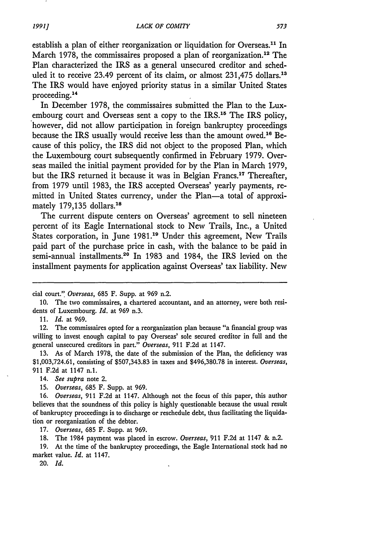establish a plan of either reorganization or liquidation for Overseas.<sup>11</sup> In March 1978, the commissaires proposed a plan of reorganization.<sup>12</sup> The Plan characterized the IRS as a general unsecured creditor and scheduled it to receive 23.49 percent of its claim, or almost 231,475 dollars.<sup>13</sup> The IRS would have enjoyed priority status in a similar United States proceeding.<sup>14</sup>

In December 1978, the commissaires submitted the Plan to the Luxembourg court and Overseas sent a copy to the IRS.<sup>15</sup> The IRS policy, however, did not allow participation in foreign bankruptcy proceedings because the IRS usually would receive less than the amount owed.<sup>16</sup> Because of this policy, the IRS did not object to the proposed Plan, which the Luxembourg court subsequently confirmed in February 1979. Overseas mailed the initial payment provided for by the Plan in March 1979, but the IRS returned it because it was in Belgian Francs.<sup>17</sup> Thereafter, from 1979 until 1983, the IRS accepted Overseas' yearly payments, remitted in United States currency, under the Plan—a total of approximately 179,135 dollars.<sup>18</sup>

The current dispute centers on Overseas' agreement to sell nineteen percent of its Eagle International stock to New Trails, Inc., a United States corporation, in June 1981.<sup>19</sup> Under this agreement, New Trails paid part of the purchase price in cash, with the balance to be paid in semi-annual installments.<sup>20</sup> In 1983 and 1984, the IRS levied on the installment payments for application against Overseas' tax liability. New

11. *Id.* at 969.

12. The commissaires opted for a reorganization plan because "a financial group was willing to invest enough capital to pay Overseas' sole secured creditor in full and the general unsecured creditors in part." *Overseas,* 911 F.2d at 1147.

13. As of March 1978, the date of the submission of the Plan, the deficiency was \$1,003,724.61, consisting of \$507,343.83 in taxes and \$496,380.78 in interest. *Overseas,* 911 F.2d at 1147 n.1.

- *14. See supra* note 2.
- 15. *Overseas,* 685 F. Supp. at 969.

*16. Overseas,* 911 F.2d at 1147. Although not the focus of this paper, this author believes that the soundness of this policy is highly questionable because the usual result of bankruptcy proceedings is to discharge or reschedule debt, thus facilitating the liquidation or reorganization of the debtor.

17. *Overseas,* 685 F. Supp. at 969.

18. The 1984 payment was placed in escrow. *Overseas,* 911 F.2d at 1147 & n.2.

19. At the time of the bankruptcy proceedings, the Eagle International stock had no market value. *Id.* at 1147.

20. *Id.*

cial court." Overseas, 685 F. Supp. at 969 n.2.

<sup>10.</sup> The two commissaires, a chartered accountant, and an attorney, were both residents of Luxembourg. *Id.* at 969 n.3.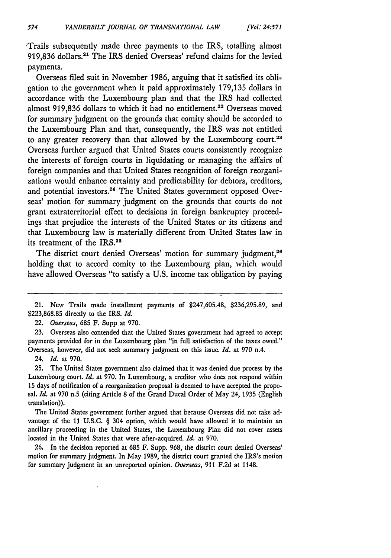Trails subsequently made three payments to the IRS, totalling almost **919,836** dollars. 2' The IRS denied Overseas' refund claims for the levied payments.

*[Vol.: 24.571*

Overseas **filed** suit in November **1986,** arguing that it satisfied its obligation to the government when it paid approximately **179,135** dollars in accordance with the Luxembourg plan and that the IRS had collected almost 919,836 dollars to which it had no entitlement.<sup>22</sup> Overseas moved for summary judgment on the grounds that comity should be accorded to the Luxembourg Plan and that, consequently, the IRS was not entitled to any greater recovery than that allowed **by** the Luxembourg court.23 Overseas further argued that United States courts consistently recognize the interests of foreign courts in liquidating or managing the affairs of foreign companies and that United States recognition of foreign reorganizations would enhance certainty and predictability for debtors, creditors, and potential investors.<sup>24</sup> The United States government opposed Overseas' motion for summary judgment on the grounds that courts do not grant extraterritorial effect to decisions in foreign bankruptcy proceedings that prejudice the interests of the United States or its citizens and that Luxembourg law is materially different from United States law in its treatment of the IRS.<sup>20</sup>

The district court denied Overseas' motion for summary judgment,<sup>26</sup> holding that to accord comity to the Luxembourg plan, which would have allowed Overseas "to satisfy a **U.S.** income tax obligation **by** paying

*22. Overseas,* **685** F. Supp at **970.**

**23.** Overseas also contended that the United States government had agreed to accept payments provided for in the Luxembourg plan "in full satisfaction of the taxes owed." Overseas, however, did not seek summary judgment on this issue. *Id.* at **970** n.4.

24. *Id.* at **970.**

**25.** The United States government also claimed that it was denied due process **by** the Luxembourg court. *Id.* at **970.** In Luxembourg, a creditor who does not respond within **15** days of notification of a reorganization proposal is deemed to have accepted the proposal. *Id.* at **970** n.5 (citing Article **8** of the Grand Ducal Order of May 24, **1935** (English translation)).

The United States government further argued that because Overseas did not take advantage of the **11 U.S.C. §** 304 option, which would have allowed **it** to maintain an ancillary proceeding in the United States, the Luxembourg Plan did not cover assets located in the United States that were after-acquired. *Id.* at **970.**

**26.** In the decision reported at **685** F. Supp. **968,** the district court denied Overseas' motion for summary judgment. In May **1989,** the district court granted the IRS's motion for summary judgment in an unreported opinion. Overseas, **911 F.2d** at 1148.

<sup>21.</sup> New Trails made installment payments of \$247,605.48, **\$236,295.89,** and **\$223,868.85** directly to the IRS. *Id.*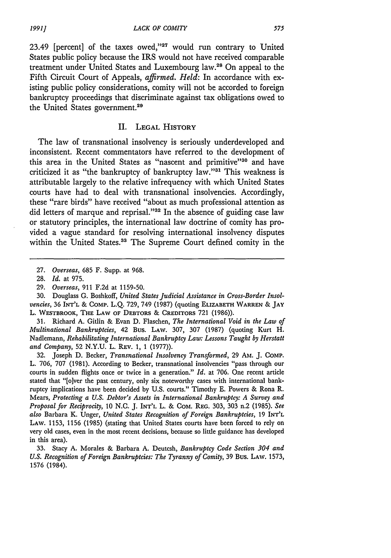23.49 [percent] of the taxes owed,"27 would run contrary to United States public policy because the IRS would not have received comparable treatment under United States and Luxembourg law.28 On appeal to the Fifth Circuit Court of Appeals, *affirmed. Held:* In accordance with existing public policy considerations, comity will not be accorded to foreign bankruptcy proceedings that discriminate against tax obligations owed to the United States government.<sup>29</sup>

#### II. **LEGAL** HISTORY

The law of transnational insolvency is seriously underdeveloped and inconsistent. Recent commentators have referred to the development of this area in the United States as "nascent and primitive"<sup>30</sup> and have criticized it as "the bankruptcy of bankruptcy law."<sup>31</sup> This weakness is attributable largely to the relative infrequency with which United States courts have had to deal with transnational insolvencies. Accordingly, these "rare birds" have received "about as much professional attention as did letters of marque and reprisal."<sup>32</sup> In the absence of guiding case law or statutory principles, the international law doctrine of comity has provided a vague standard for resolving international insolvency disputes within the United States.<sup>33</sup> The Supreme Court defined comity in the

31. Richard A. Gitlin & Evan D. Flaschen, *The International Void in the Law of Multinational Bankruptcies,* 42 Bus. LAW. 307, 307 (1987) (quoting Kurt H. Nadlemann, *Rehabilitating International Bankruptcy Law: Lessons Taught by Herstatt and Company,* **52** N.Y.U. L. REV. 1, 1 (1977)).

32. Joseph D. Becker, *Transnational Insolvency Transformed,* 29 AM. J. **COMP.** L. 706, 707 (1981). According to Becker, transnational insolvencies "pass through our courts in sudden flights once or twice in a generation." *Id.* at 706. One recent article stated that "[o]ver the past century, only six noteworthy cases with international bankruptcy implications have been decided by U.S. courts." Timothy E. Powers & Rona R. Mears, *Protecting a U.S. Debtor's Assets in International Bankruptcy: A Survey and Proposal for Reciprocity,* 10 N.C. J. INT'L L. & COM. REG. 303, 303 n.2 (1985). *See also* Barbara K. Unger, *United States Recognition of Foreign Bankruptcies,* 19 INT'L LAW. 1153, 1156 (1985) (stating that United States courts have been forced to rely on very old cases, even in the most recent decisions, because so little guidance has developed in this area).

*1991]*

<sup>27.</sup> *Overseas,* 685 F. Supp. at 968.

<sup>28.</sup> *Id.* at 975.

<sup>29.</sup> *Overseas,* 911 F.2d at 1159-50.

<sup>30.</sup> Douglass G. Boshkoff, *United States Judicial Assistance in Cross-Border Insolvencies,* **36** INT'L & COMP. L.Q. 729, 749 (1987) (quoting **ELIZABETH WARREN** & **JAY** L. WESTBROOK, **THE LAW** OF DEBTORS & **CREDITORS** 721 (1986)).

<sup>33.</sup> Stacy A. Morales & Barbara A. Deutcsh, *Bankruptcy Code Section 304 and U.S. Recognition of Foreign Bankruptcies: The Tyranny of Comity,* 39 Bus. LAW. 1573, 1576 (1984).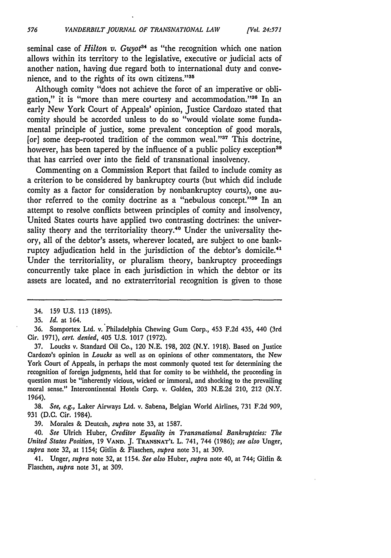seminal case of *Hilton v. Guyot*<sup>34</sup> as "the recognition which one nation allows within its territory to the legislative, executive or judicial acts of another nation, having due regard both to international duty and convenience, and to the rights of its own citizens."<sup>35</sup>

*[Vol. 24.571*

Although comity "does not achieve the force of an imperative or obligation," it is "more than mere courtesy and accommodation."36 In an early New York Court of Appeals' opinion, Justice Cardozo stated that comity should be accorded unless to do so "would violate some fundamental principle of justice, some prevalent conception of good morals, [or] some deep-rooted tradition of the common weal."<sup>37</sup> This doctrine, however, has been tapered by the influence of a public policy exception<sup>38</sup> that has carried over into the field of transnational insolvency.

Commenting on a Commission Report that failed to include comity as a criterion to be considered by bankruptcy courts (but which did include comity as a factor for consideration by nonbankruptcy courts), one author referred to the comity doctrine as a "nebulous concept." $39$  In an attempt to resolve conflicts between principles of comity and insolvency, United States courts have applied two contrasting doctrines: the universality theory and the territoriality theory.<sup>40</sup> Under the universality theory, all of the debtor's assets, wherever located, are subject to one bankruptcy adjudication held in the jurisdiction of the debtor's domicile.<sup>41</sup> Under the territoriality, or pluralism theory, bankruptcy proceedings concurrently take place in each jurisdiction in which the debtor or its assets are located, and no extraterritorial recognition is given to those

36. Somportex Ltd. v. Philadelphia Chewing Gum Corp., 453 F.2d 435, 440 (3rd Cir. 1971), *cert. denied,* 405 U.S. 1017 (1972).

37. Loucks v. Standard Oil Co., 120 N.E. 198, 202 (N.Y. 1918). Based on Justice Cardozo's opinion in *Loucks* as well as on opinions of other commentators, the New York Court of Appeals, in perhaps the most commonly quoted test for determining the recognition of foreign judgments, held that for comity to be withheld, the proceeding in question must be "inherently vicious, wicked or immoral, and shocking to the prevailing moral sense." Intercontinental Hotels Corp. v. Golden, 203 N.E.2d 210, 212 (N.Y. 1964).

**38.** *See, e.g.,* Laker Airways Ltd. v. Sabena, Belgian World Airlines, **731 F.2d** 909, **931 (D.C.** Cir. 1984).

**39.** Morales **&** Deutcsh, *supra* note **33,** at **1587.**

40. *See* Ulrich Huber, *Creditor Equality in Transnational Bankruptcies: The United States Position,* 19 **VAND.** J. **TRANSNAT'L L.** 741, 744 (1986); *see also* Unger, *supra* note 32, at 1154; Gitlin & Flaschen, *supra* note 31, at 309.

*41.* Unger, *supra* note 32, at 1154. *See also* Huber, *supra* note 40, at 744; Gitlin & Flaschen, *supra* note 31, at 309.

<sup>34. 159</sup> U.S. 113 (1895).

**<sup>35.</sup>** *Id.* at 164.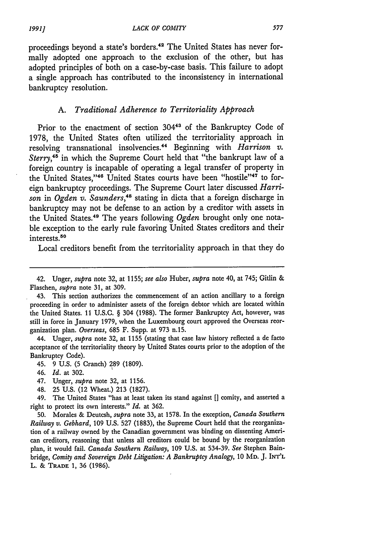proceedings beyond a state's borders. 42 The United States has never formally adopted one approach to the exclusion of the other, but has adopted principles of both on a case-by-case basis. This failure to adopt a single approach has contributed to the inconsistency in international bankruptcy resolution.

#### **A.** *Traditional Adherence to Territoriality Approach*

Prior to the enactment of section 30443 of the Bankruptcy Code of 1978, the United States often utilized the territoriality approach in resolving transnational insolvencies.<sup>44</sup> Beginning with *Harrison v. Sterry,45* in which the Supreme Court held that "the bankrupt law of a foreign country is incapable of operating a legal transfer of property in the United States,"<sup>46</sup> United States courts have been "hostile"<sup>47</sup> to foreign bankruptcy proceedings. The Supreme Court later discussed *Harrison* in *Ogden v. Saunders,48* stating in dicta that a foreign discharge in bankruptcy may not be defense to an action by a creditor with assets in the United States.<sup>49</sup> The years following *Ogden* brought only one notable exception to the early rule favoring United States creditors and their interests.<sup>50</sup>

Local creditors benefit from the territoriality approach in that they do

44. Unger, *supra* note 32, at 1155 (stating that case law history reflected a de facto acceptance of the territoriality theory by United States courts prior to the adoption of the Bankruptcy Code).

- 45. 9 U.S. (5 Cranch) 289 (1809).
- 46. *Id.* at 302.
- 47. Unger, *supra* note 32, at 1156.
- 48. **25** U.S. (12 Wheat.) 213 (1827).

49. The United States "has at least taken its stand against **[]** comity, and asserted a right to protect its own interests." *Id.* at 362.

**50.** Morales **&** Deutcsh, *supra* note **33,** at **1578.** In the exception, *Canada Southern Railway v. Gebhard,* **109 U.S. 527 (1883),** the Supreme Court held that the reorganization of a railway owned **by** the Canadian government was binding on dissenting American creditors, reasoning that unless all creditors could be bound **by** the reorganization plan, it would fail. *Canada Southern Railway,* **109 U.S.** at **534-39.** *See* Stephen Bainbridge, *Comity and Sovereign Debt Litigation: A Bankruptcy Analogy,* 10 MD. J. INT'L L. & TRADE 1, 36 (1986).

<sup>42.</sup> Unger, *supra* note 32, at **1155;** *see also* Huber, *supra* note 40, at 745; Gitlin & Flaschen, *supra* note 31, at 309.

<sup>43.</sup> This section authorizes the commencement of an action ancillary to a foreign proceeding in order to administer assets of the foreign debtor which are located within the United States. 11 U.S.C. § 304 (1988). The former Bankruptcy Act, however, was still in force in January 1979, when the Luxembourg court approved the Overseas reorganization plan. *Overseas,* 685 F. Supp. at 973 n.15.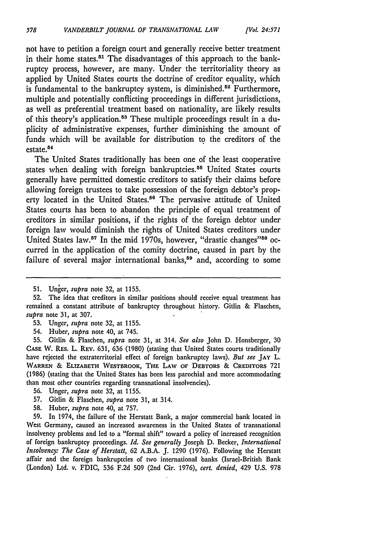not have to petition a foreign court and generally receive better treatment in their home states.<sup>51</sup> The disadvantages of this approach to the bankruptcy process, however, are many. Under the territoriality theory as applied **by** United States courts the doctrine of creditor equality, which is fundamental to the bankruptcy system, is diminished.<sup>52</sup> Furthermore, multiple and potentially conflicting proceedings in different jurisdictions, as well as preferential treatment based on nationality, are likely results of this theory's application.<sup>53</sup> These multiple proceedings result in a duplicity of administrative expenses, further diminishing the amount of funds which will be available for distribution to the creditors of the estate.<sup>84</sup>

The United States traditionally has been one of the least cooperative states when dealing with foreign bankruptcies.<sup>55</sup> United States courts generally have permitted domestic creditors to satisfy their claims before allowing foreign trustees to take possession of the foreign debtor's property located in the United States.<sup>56</sup> The pervasive attitude of United States courts has been to abandon the principle of equal treatment of creditors in similar positions, if the rights of the foreign debtor under foreign law would diminish the rights of United States creditors under United States law.<sup>57</sup> In the mid 1970s, however, "drastic changes"<sup>58</sup> occurred in the application of the comity doctrine, caused in part **by** the failure of several major international banks,<sup>59</sup> and, according to some

- **53.** Unger, *supra* note **32,** at **1155.**
- 54. Huber, *supra* note 40, at 745.

**55.** Gitlin **&** Flaschen, *supra* note **31,** at 314. *See also* John **D.** Honsberger, **30 CASE W.** REs. L. **REV. 631,** 636 **(1980)** (stating that United States courts traditionally have rejected the extraterritorial effect of foreign bankruptcy laws). *But see* **JAY** L. WARREN & **ELIZABETH** WESTBROOK, THE LAW **OF** DEBTORS & **CREDITORS 721 (1986)** (stating that the United States has been less parochial and more accommodating than most other countries regarding transnational insolvencies).

- **56.** Unger, *supra* note **32,** at **1155.**
- **57.** Gitlin **&** Flaschen, *supra* note **31,** at 314.
- **58.** Huber, *supra* note 40, at **757.**

**59.** In 1974, the failure of the Herstatt Bank, a major commercial bank located in West Germany, caused an increased awareness in the United States of transnational insolvency problems and led to a "formal shift" toward a policy of increased recognition of foreign bankruptcy proceedings. *Id. See generally* Joseph **D.** Becker, *International Insolvency: The Case of Herstatt,* **62 A.B.A. J. 1290 (1976).** Following the Herstatt affair and the foreign bankruptcies of two international banks (Israel-British Bank (London) Ltd. v. FDIC, **536 F.2d 509** (2nd Cir. **1976),** *cert. denied,* 429 **U.S. 978**

**<sup>51.</sup>** Unier, supra note **32,** at **1155.**

**<sup>52.</sup>** The idea that creditors in similar positions should receive equal treatment has remained a constant attribute of bankruptcy throughout history. Gitlin **&** Flaschen, *supra* note **31,** at **307.**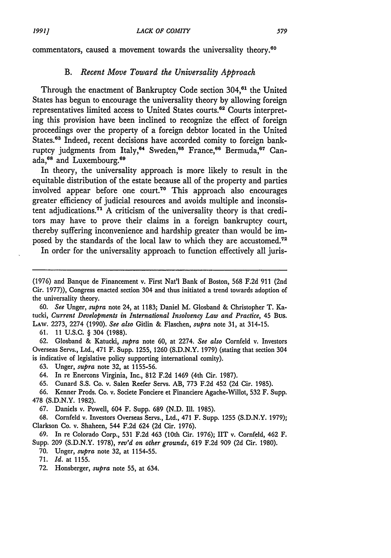commentators, caused a movement towards the universality theory.<sup>60</sup>

## *B. Recent Move Toward the Universality Approach*

Through the enactment of Bankruptcy Code section 304,<sup>61</sup> the United States has begun to encourage the universality theory by allowing foreign representatives limited access to United States courts.<sup>62</sup> Courts interpreting this provision have been inclined to recognize the effect of foreign proceedings over the property of a foreign debtor located in the United States.<sup>63</sup> Indeed, recent decisions have accorded comity to foreign bankruptcy judgments from Italy,<sup>64</sup> Sweden,<sup>65</sup> France,<sup>66</sup> Bermuda,<sup>67</sup> Canada,<sup>68</sup> and Luxembourg.<sup>69</sup>

In theory, the universality approach is more likely to result in the equitable distribution of the estate because all of the property and parties involved appear before one court.<sup>70</sup> This approach also encourages greater efficiency of judicial resources and avoids multiple and inconsistent adjudications.71 A criticism of the universality theory is that creditors may have to prove their claims in a foreign bankruptcy court, thereby suffering inconvenience and hardship greater than would be imposed by the standards of the local law to which they are accustomed.<sup>72</sup>

In order for the universality approach to function effectively all juris-

60. *See* Unger, *supra* note 24, at 1183; Daniel M. Glosband & Christopher T. Katucki, *Current Developments in International Insolvency Law and Practice,* 45 Bus. LAW. 2273, 2274 (1990). *See also* Gitlin & Flaschen, *supra* note 31, at 314-15.

**61.** 11 **U.S.C.** § 304 **(1988).**

**62.** Glosband **&** Katucki, *supra* note **60,** at 2274. *See also* Cornfeld v. Investors Overseas Servs., Ltd., 471 F. Supp. **1255, 1260 (S.D.N.Y. 1979)** (stating that section 304 is indicative of legislative policy supporting international comity).

**63.** Unger, *supra* note **32,** at **1155-56.**

64. In re Enercons Virginia, Inc., **812 F.2d** 1469 (4th Cir. **1987).**

**65.** Cunard **S.S.** Co. v. Salen Reefer Servs. AB, **773 F.2d** 452 **(2d** Cir. **1985).**

**66.** Kenner Prods. Co. v. Societe Fonciere et Financiere Agache-Willot, **532** F. Supp. **478 (S.D.N.Y. 1982).**

**67.** Daniels v. Powell, 604 F. Supp. **689 (N.D.** Ill. **1985).**

**68.** Cornfeld v. Investors Overseas Servs., Ltd., 471 F. Supp. **1255 (S.D.N.Y.** 1979); Clarkson Co. v. Shaheen, 544 **F.2d** 624 **(2d** Cir. **1976).**

**69.** In re Colorado Corp., **531 F.2d** 463 (10th Cir. **1976); IIT** v. Cornfeld, 462 F. Supp. **209 (S.D.N.Y. 1978),** *rev'd on other grounds,* **619 F.2d 909 (2d** Cir. **1980).**

**70.** Unger, *supra* note **32,** at 1154-55.

<sup>(1976)</sup> and Banque de Financement v. First Nat'l Bank of Boston, 568 F.2d 911 (2nd Cir. 1977)), Congress enacted section 304 and thus initiated a trend towards adoption of the universality theory.

<sup>71.</sup> *Id.* at 1155.

<sup>72.</sup> Honsberger, *supra* note 55, at 634.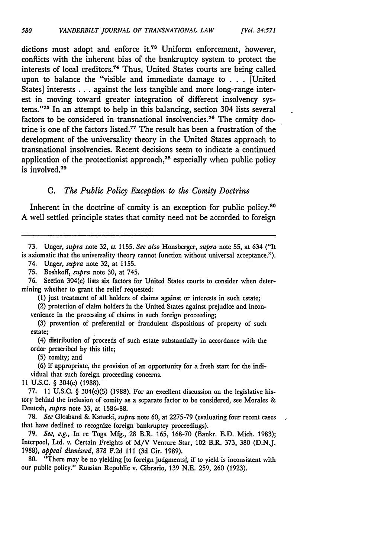dictions must adopt and enforce it.<sup>73</sup> Uniform enforcement, however, conflicts with the inherent bias of the bankruptcy system to protect the interests of local creditors.<sup>74</sup> Thus, United States courts are being called upon to balance the "visible and immediate damage to . . . [United States] interests **...** against the less tangible and more long-range interest in moving toward greater integration of different insolvency systems."<sup>75</sup> In an attempt to help in this balancing, section 304 lists several factors to be considered in transnational insolvencies.<sup>76</sup> The comity doctrine is one of the factors listed.<sup>77</sup> The result has been a frustration of the development of the universality theory in the United States approach to transnational insolvencies. Recent decisions seem to indicate a continued application of the protectionist approach, $78$  especially when public policy is involved.<sup>79</sup>

### **C.** *The Public Policy Exception to the Comity Doctrine*

Inherent in the doctrine of comity is an exception for public policy.<sup>80</sup> A well settled principle states that comity need not be accorded to foreign

74. Unger, *supra* note 32, at 1155.

75. Boshkoff, *supra* note 30, at 745.

76. Section 304(c) lists six factors for United States courts to consider when determining whether to grant the relief requested:

**(1)** just treatment of all holders of claims against or interests in such estate;

(2) protection of claim holders in the United States against prejudice and inconvenience in the processing of claims in such foreign proceeding;

(3) prevention of preferential or fraudulent dispositions of property of such estate;

(4) distribution of proceeds of such estate substantially in accordance with the order prescribed **by** this title;

**(5)** comity; and

**(6)** if appropriate, the provision of an opportunity for a fresh start for the individual that such foreign proceeding concerns.

**<sup>11</sup>U.S.C.** § 304(c) **(1988).**

77. 11 U.S.C. § 304(c)(5) (1988). For an excellent discussion on the legislative history behind the inclusion of comity as a separate factor to be considered, see Morales & Deutcsh, *supra* note **33,** at 1586-88.

**78.** *See* Glosband & Katucki, *supra* note **60,** at 2275-79 (evaluating four recent cases that have declined to recognize foreign bankruptcy proceedings).

**79.** *See, e.g.,* In re Toga Mfg., 28 B.R. 165, **168-70** (Bankr. E.D. Mich. **1983);** Interpool, Ltd. v. Certain Freights of **M/V** Venture Star, 102 B.R. **373, 380** (D.N.J. 1988), *appeal dismissed,* 878 F.2d 111 **(3d** Cir. 1989).

**80.** "There may be no yielding [to foreign judgments], if to yield is inconsistent with our public policy." Russian Republic v. Cibrario, **139** N.E. 259, **260** (1923).

<sup>73.</sup> Unger, *supra* note 32, at 1155. *See also* Honsberger, *supra* note 55, at 634 ("It is axiomatic that the universality theory cannot function without universal acceptance.").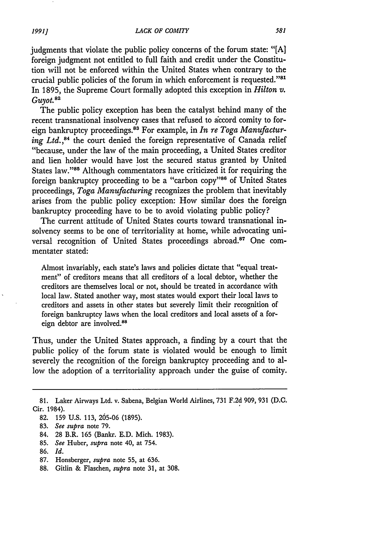judgments that violate the public policy concerns of the forum state: "[A] foreign judgment not entitled to full faith and credit under the Constitution will not be enforced within the United States when contrary to the crucial public policies of the forum in which enforcement is requested."<sup>81</sup> In 1895, the Supreme Court formally adopted this exception in *Hilton v. Guyot.82*

The public policy exception has been the catalyst behind many of the recent transnational insolvency cases that refused to accord comity to foreign bankruptcy proceedings. 83 For example, in *In re Toga Manufacturing Ltd.,84* the court denied the foreign representative of Canada relief "because, under the law of the main proceeding, a United States creditor and lien holder would have lost the secured status granted by United States law."85 Although commentators have criticized it for requiring the foreign bankruptcy proceeding to be a "carbon copy"86 of United States proceedings, *Toga Manufacturing* recognizes the problem that inevitably arises from the public policy exception: How similar does the foreign bankruptcy proceeding have to be to avoid violating public policy?

The current attitude of United States courts toward transnational insolvency seems to be one of territoriality at home, while advocating universal recognition of United States proceedings abroad.87 One commentater stated:

Almost invariably, each state's laws and policies dictate that "equal treatment" of creditors means that all creditors of a local debtor, whether the creditors are themselves local or not, should be treated in accordance with local law. Stated another way, most states would export their local laws to creditors and assets in other states but severely limit their recognition of foreign bankruptcy laws when the local creditors and local assets of a foreign debtor are involved.<sup>88</sup>

Thus, under the United States approach, a finding by a court that the public policy of the forum state is violated would be enough to limit severely the recognition of the foreign bankruptcy proceeding and to allow the adoption of a territoriality approach under the guise of comity.

- 87. Honsberger, *supra* note 55, at 636.
- 88. Gitlin & Flaschen, *supra* note 31, at 308.

**<sup>81.</sup>** Laker Airways Ltd. v. Sabena, Belgian World Airlines, 731 F.2d 909, 931 (D.C. Cir. 1984).

<sup>82. 159</sup> U.S. 113, 205-06 (1895).

<sup>83.</sup> *See supra* note 79.

<sup>84. 28</sup> B.R. 165 (Bankr. E.D. Mich. 1983).

<sup>85.</sup> *See* Huber, *supra* note 40, at 754.

<sup>86.</sup> *Id.*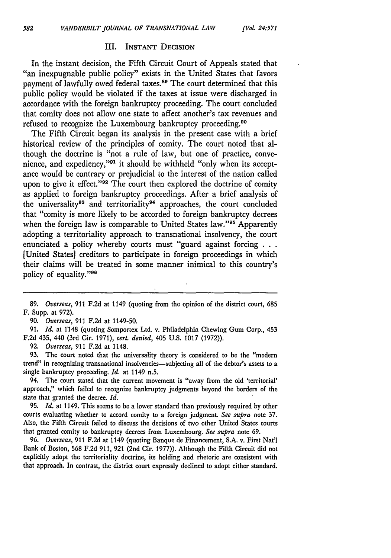#### III. INSTANT DECISION

In the instant decision, the Fifth Circuit Court of Appeals stated that "an inexpugnable public policy" exists in the United States that favors payment of lawfully owed federal taxes.<sup>89</sup> The court determined that this public policy would be violated if the taxes at issue were discharged in accordance with the foreign bankruptcy proceeding. The court concluded that comity does not allow one state to affect another's tax revenues and refused to recognize the Luxembourg bankruptcy proceeding.90

The Fifth Circuit began its analysis in the present case with a brief historical review of the principles of comity. The court noted that although the doctrine is "not a rule of law, but one of practice, convenience, and expediency,"<sup>91</sup> it should be withheld "only when its acceptance would be contrary or prejudicial to the interest of the nation called upon to give it effect."<sup>92</sup> The court then explored the doctrine of comity as applied to foreign bankruptcy proceedings. After a brief analysis of the universality<sup>93</sup> and territoriality<sup>94</sup> approaches, the court concluded that "comity is more likely to be accorded to foreign bankruptcy decrees when the foreign law is comparable to United States law."<sup>95</sup> Apparently adopting a territoriality approach to transnational insolvency, the court enunciated a policy whereby courts must "guard against forcing **...** [United States] creditors to participate in foreign proceedings in which their claims will be treated in some manner inimical to this country's policy of equality."<sup>96</sup>

582

91. *Id.* at 1'148 (quoting Somportex Ltd. v. Philadelphia Chewing Gum Corp., 453 **F.2d** 435, 440 (3rd Cir. 1971), *cert. denied,* 405 U.S. 1017 (1972)).

92. *Overseas,* 911 F.2d at 1148.

93. The court noted that the universality theory is considered to be the "modem trend" in recognizing transnational insolvencies—subjecting all of the debtor's assets to a single bankruptcy proceeding. *Id.* at 1149 n.5.

94. The court stated that the current movement is "away from the old 'territorial' approach," which failed to recognize bankruptcy judgments beyond the borders of the state that granted the decree. *Id.*

95. *Id.* at 1149. This seems to be a lower standard than previously required by other courts evaluating whether to accord comity to a foreign judgment. *See supra* note 37. Also, the Fifth Circuit failed to discuss the decisions of two other United States courts that granted comity to bankruptcy decrees from Luxembourg. *See supra* note 69.

96. *Overseas,* 911 F.2d at 1149 (quoting Banque de Financement, S.A. v. First Nat'l Bank of Boston, 568 F.2d 911, 921 (2nd Cir. 1977)). Although the Fifth Circuit did not explicitly adopt the territoriality doctrine, its holding and rhetoric are consistent with that approach. In contrast, the district court expressly declined to adopt either standard.

**<sup>89.</sup>** *Overseas,* 911 F.2d at 1149 (quoting from the opinion of the district court, 685 F. Supp. at 972).

*<sup>90.</sup> Overseas,* 911 F.2d at 1149-50.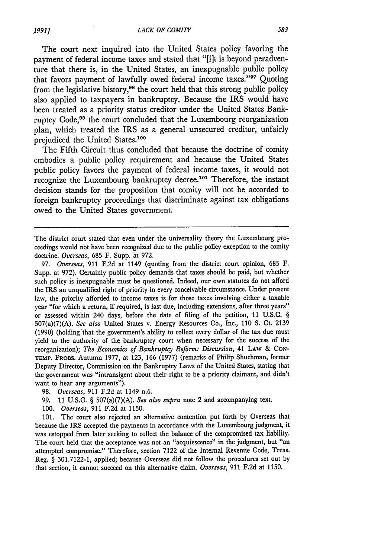The court next inquired into the United States policy favoring the payment of federal income taxes and stated that "[i]t is beyond peradventure that there is, in the United States, an inexpugnable public policy that favors payment of lawfully owed federal income taxes."<sup>97</sup> Quoting from the legislative history,<sup>98</sup> the court held that this strong public policy also applied to taxpayers in bankruptcy. Because the IRS would have been treated as a priority status creditor under the United States Bankruptcy Code,<sup>99</sup> the court concluded that the Luxembourg reorganization plan, which treated the IRS as a general unsecured creditor, unfairly prejudiced the United States.100

The Fifth Circuit thus concluded that because the doctrine of comity embodies a public policy requirement and because the United States public policy favors the payment of federal income taxes, it would not recognize the Luxembourg bankruptcy decree.<sup>101</sup> Therefore, the instant decision stands for the proposition that comity will not be accorded to foreign bankruptcy proceedings that discriminate against tax obligations owed to the United States government.

97. *Overseas,* 911 F.2d at 1149 (quoting from the district court opinion, 685 F. Supp. at 972). Certainly public policy demands that taxes should be paid, but whether such policy is inexpugnable must be questioned. Indeed, our own statutes do not afford the IRS an unqualified right of priority in every conceivable circumstance. Under present law, the priority afforded to income taxes is for those taxes involving either a taxable year "for which a return, if required, is last due, including extensions, after three years" or assessed within 240 days, before the date of filing of the petition, 11 U.S.C. § 507(a)(7)(A). *See also* United States v. Energy Resources Co., Inc., 110 S. Ct. 2139 (1990) (holding 'that the government's ability to collect every dollar of the tax due must yield to the authority of the bankruptcy court when necessary for the success of the reorganization); *The Economics of Bankruptcy Reform: Discussion,* 41 LAW & CON-TEMP. PROBS. Autumn 1977, at 123, 166 (1977) (remarks of Philip Shuchman, former Deputy Director, Commission on the Bankruptcy Laws of the United States, stating that the government was "intransigent about their right to be a priority claimant, and didn't want to hear any arguments").

101. The court also rejected an alternative contention put forth by Overseas that because the IRS accepted the payments in accordance with the Luxembourg judgment, it was estopped from later seeking to collect the balance of the compromised tax liability. The court held that the acceptance was not an "acquiescence" in the judgment, but "an attempted compromise." Therefore, section 7122 of the Internal Revenue Code, Treas. Reg. § 301.7122-1, applied; because Overseas did not follow the procedures set out by that section, it cannot succeed on this alternative claim. *Overseas,* 911 F.2d at 1150.

The district court stated that even under the universality theory the Luxembourg proceedings would not have been recognized due to the public policy exception to the comity doctrine. Overseas, 685 F. Supp. at 972.

*<sup>98.</sup> Overseas,* 911 F.2d at 1149 n.6.

<sup>99. 11</sup> U.S.C. § 507(a)(7)(A). *See also supra* note 2 and accompanying text.

<sup>100.</sup> *Overseas,* 911 F.2d at 1150.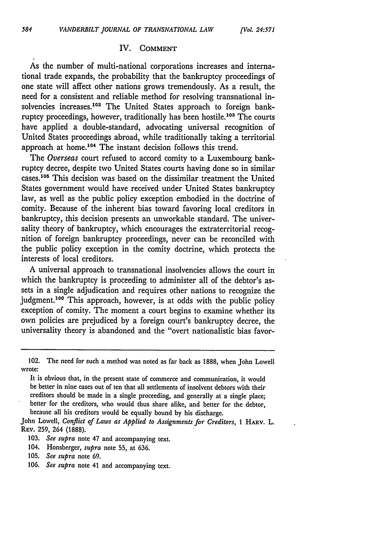#### IV. **COMMENT**

As the number of multi-national corporations increases and international trade expands, the probability that the bankruptcy proceedings of one state will affect other nations grows tremendously. As a result, the need for a consistent and reliable method for resolving transnational insolvencies increases.<sup>102</sup> The United States approach to foreign bankruptcy proceedings, however, traditionally has been hostile.<sup>103</sup> The courts have applied a double-standard, advocating universal recognition of United States proceedings abroad, while traditionally taking a territorial approach at home.<sup>104</sup> The instant decision follows this trend.

The *Overseas* court refused to accord comity to a Luxembourg bankruptcy decree, despite two United States courts having done so in similar cases.<sup>105</sup> This decision was based on the dissimilar treatment the United States government would have received under United States bankruptcy law, as well as the public policy exception embodied in the doctrine of comity. Because of the inherent bias toward favoring local creditors in bankruptcy, this decision presents an unworkable standard. The universality theory of bankruptcy, which encourages the extraterritorial recognition of foreign bankruptcy proceedings, never can be reconciled with the public policy exception in the comity doctrine, which protects the interests of local creditors.

A universal approach to transnational insolvencies allows the court in which the bankruptcy is proceeding to administer all of the debtor's assets in a single adjudication and requires other nations to recognize the judgment.<sup>106</sup> This approach, however, is at odds with the public policy exception of comity. The moment a court begins to examine whether its own policies are prejudiced by a foreign court's bankruptcy decree, the universality theory is abandoned and the "overt nationalistic bias favor-

John Lowell, *Conflict of Laws as Applied to Assignments* for *Creditors,* **1** HARV. L. REv. 259, 264 (1888).

- 104. Honsberger, *supra* note 55, at 636.
- 105. *See supra* note 69.
- 106. *See supra* note 41 and accompanying text.

<sup>102.</sup> The need for such a method was noted as far back as 1888, when John Lowell wrote:

It is obvious that, in the present state of commerce and communication, **it** would be better in nine cases out of ten that all settlements of insolvent debtors with their creditors should be made in a single proceeding, and generally at a single place; better for the creditors, who would thus share alike, and better for the debtor, because all his creditors would be equally bound **by** his discharge.

<sup>103.</sup> *See supra* note 47 and accompanying text.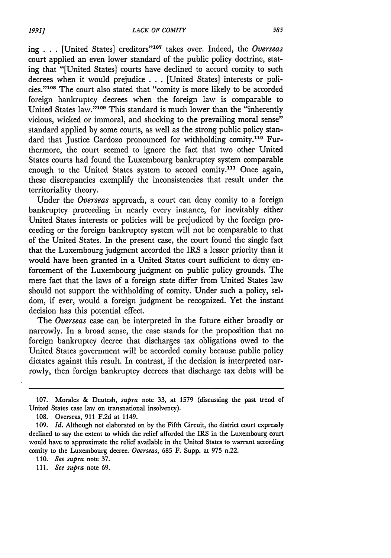ing . . . [United States] creditors<sup>"107</sup> takes over. Indeed, the *Overseas* court applied an even lower standard of the public policy doctrine, stating that "[United States] courts have declined to accord comity to such decrees when it would prejudice . . **.** [United States] interests or policies."<sup>108</sup> The court also stated that "comity is more likely to be accorded foreign bankruptcy decrees when the foreign law is comparable to United States law."<sup>109</sup> This standard is much lower than the "inherently vicious, wicked or immoral, and shocking to the prevailing moral sense" standard applied by some courts, as well as the strong public policy standard that Justice Cardozo pronounced for withholding comity.<sup>110</sup> Furthermore, the court seemed to ignore the fact that two other United States courts had found the Luxembourg bankruptcy system comparable enough to the United States system to accord comity.<sup>111</sup> Once again, these discrepancies exemplify the inconsistencies that result under the territoriality theory.

Under the *Overseas* approach, a court can deny comity to a foreign bankruptcy proceeding in nearly every instance, for inevitably either United States interests or policies will be prejudiced by the foreign proceeding or the foreign bankruptcy system will not be comparable to that of the United States. In the present case, the court found the single fact that the Luxembourg judgment accorded the IRS a lesser priority than it would have been granted in a United States court sufficient to deny enforcement of the Luxembourg judgment on public policy grounds. The mere fact that the laws of a foreign state differ from United States law should not support the withholding of comity. Under such a policy, seldom, if ever, would a foreign judgment be recognized. Yet the instant decision has this potential effect.

The *Overseas* case can be interpreted in the future either broadly or narrowly. In a broad sense, the case stands for the proposition that no foreign bankruptcy decree that discharges tax obligations owed to the United States government will be accorded comity because public policy dictates against this result. In contrast, if the decision is interpreted narrowly, then foreign bankruptcy decrees that discharge tax debts will be

<sup>107.</sup> Morales & Deutcsh, *supra* note 33, at 1579 (discussing the past trend of United States case law on transnational insolvency).

<sup>108.</sup> Overseas, 911 F.2d at 1149.

<sup>109.</sup> *Id.* Although not elaborated on by the Fifth Circuit, the district court expressly declined to say the extent to which the relief afforded the IRS in the Luxembourg court would have to approximate the relief available in the United States to warrant according comity to the Luxembourg decree. *Overseas,* 685 F. Supp. at 975 n.22.

<sup>110.</sup> *See supra* note 37.

*<sup>111.</sup> See supra* note 69.